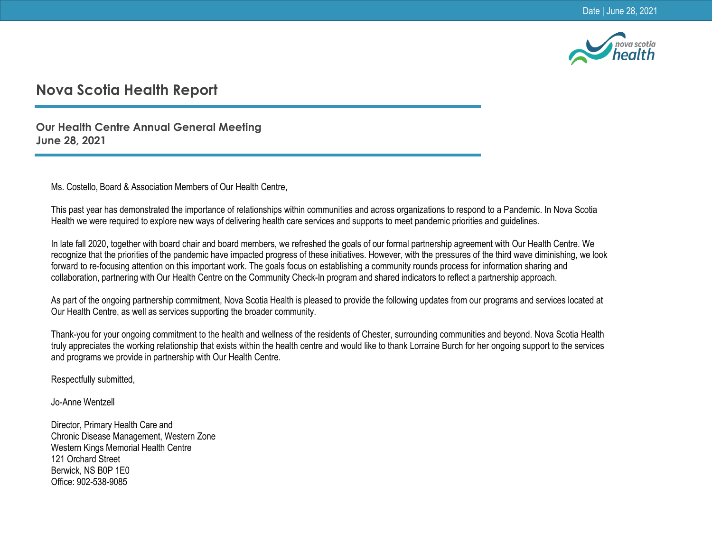

## **Nova Scotia Health Report**

**Our Health Centre Annual General Meeting June 28, 2021**

Ms. Costello, Board & Association Members of Our Health Centre,

This past year has demonstrated the importance of relationships within communities and across organizations to respond to a Pandemic. In Nova Scotia Health we were required to explore new ways of delivering health care services and supports to meet pandemic priorities and guidelines.

In late fall 2020, together with board chair and board members, we refreshed the goals of our formal partnership agreement with Our Health Centre. We recognize that the priorities of the pandemic have impacted progress of these initiatives. However, with the pressures of the third wave diminishing, we look forward to re-focusing attention on this important work. The goals focus on establishing a community rounds process for information sharing and collaboration, partnering with Our Health Centre on the Community Check-In program and shared indicators to reflect a partnership approach.

As part of the ongoing partnership commitment, Nova Scotia Health is pleased to provide the following updates from our programs and services located at Our Health Centre, as well as services supporting the broader community.

Thank-you for your ongoing commitment to the health and wellness of the residents of Chester, surrounding communities and beyond. Nova Scotia Health truly appreciates the working relationship that exists within the health centre and would like to thank Lorraine Burch for her ongoing support to the services and programs we provide in partnership with Our Health Centre.

Respectfully submitted,

Jo-Anne Wentzell

Director, Primary Health Care and Chronic Disease Management, Western Zone Western Kings Memorial Health Centre 121 Orchard Street Berwick, NS B0P 1E0 Office: 902-538-9085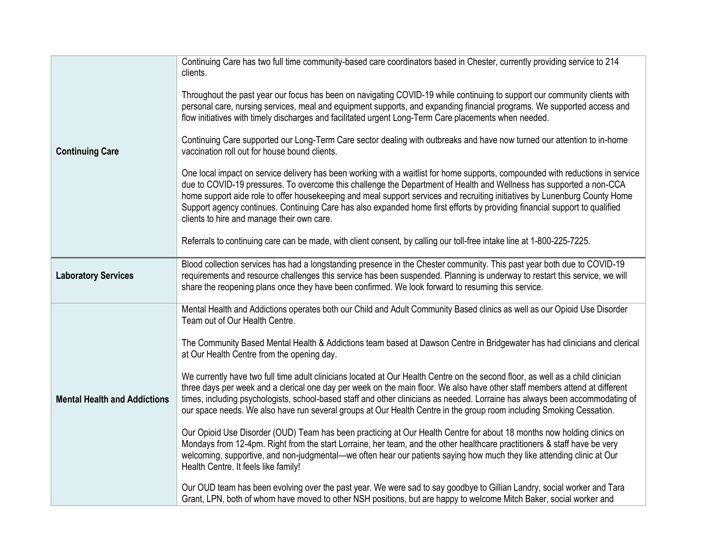|                                     | Continuing Care has two full time community-based care coordinators based in Chester, currently providing service to 214<br>clients.                                                                                                                                                                                                                                                                                                                                                                                                                            |
|-------------------------------------|-----------------------------------------------------------------------------------------------------------------------------------------------------------------------------------------------------------------------------------------------------------------------------------------------------------------------------------------------------------------------------------------------------------------------------------------------------------------------------------------------------------------------------------------------------------------|
|                                     | Throughout the past year our focus has been on navigating COVID-19 while continuing to support our community clients with<br>personal care, nursing services, meal and equipment supports, and expanding financial programs. We supported access and<br>flow initiatives with timely discharges and facilitated urgent Long-Term Care placements when needed.                                                                                                                                                                                                   |
| <b>Continuing Care</b>              | Continuing Care supported our Long-Term Care sector dealing with outbreaks and have now turned our attention to in-home<br>vaccination roll out for house bound clients.                                                                                                                                                                                                                                                                                                                                                                                        |
|                                     | One local impact on service delivery has been working with a waitlist for home supports, compounded with reductions in service<br>due to COVID-19 pressures. To overcome this challenge the Department of Health and Wellness has supported a non-CCA<br>home support aide role to offer housekeeping and meal support services and recruiting initiatives by Lunenburg County Home<br>Support agency continues. Continuing Care has also expanded home first efforts by providing financial support to qualified<br>clients to hire and manage their own care. |
|                                     | Referrals to continuing care can be made, with client consent, by calling our toll-free intake line at 1-800-225-7225.                                                                                                                                                                                                                                                                                                                                                                                                                                          |
| <b>Laboratory Services</b>          | Blood collection services has had a longstanding presence in the Chester community. This past year both due to COVID-19<br>requirements and resource challenges this service has been suspended. Planning is underway to restart this service, we will<br>share the reopening plans once they have been confirmed. We look forward to resuming this service.                                                                                                                                                                                                    |
|                                     | Mental Health and Addictions operates both our Child and Adult Community Based clinics as well as our Opioid Use Disorder<br>Team out of Our Health Centre.                                                                                                                                                                                                                                                                                                                                                                                                     |
|                                     | The Community Based Mental Health & Addictions team based at Dawson Centre in Bridgewater has had clinicians and clerical<br>at Our Health Centre from the opening day.                                                                                                                                                                                                                                                                                                                                                                                         |
| <b>Mental Health and Addictions</b> | We currently have two full time adult clinicians located at Our Health Centre on the second floor, as well as a child clinician<br>three days per week and a clerical one day per week on the main floor. We also have other staff members attend at different<br>times, including psychologists, school-based staff and other clinicians as needed. Lorraine has always been accommodating of<br>our space needs. We also have run several groups at Our Health Centre in the group room including Smoking Cessation.                                          |
|                                     | Our Opioid Use Disorder (OUD) Team has been practicing at Our Health Centre for about 18 months now holding clinics on<br>Mondays from 12-4pm. Right from the start Lorraine, her team, and the other healthcare practitioners & staff have be very<br>welcoming, supportive, and non-judgmental—we often hear our patients saying how much they like attending clinic at Our<br>Health Centre. It feels like family!                                                                                                                                           |
|                                     | Our OUD team has been evolving over the past year. We were sad to say goodbye to Gillian Landry, social worker and Tara<br>Grant, LPN, both of whom have moved to other NSH positions, but are happy to welcome Mitch Baker, social worker and                                                                                                                                                                                                                                                                                                                  |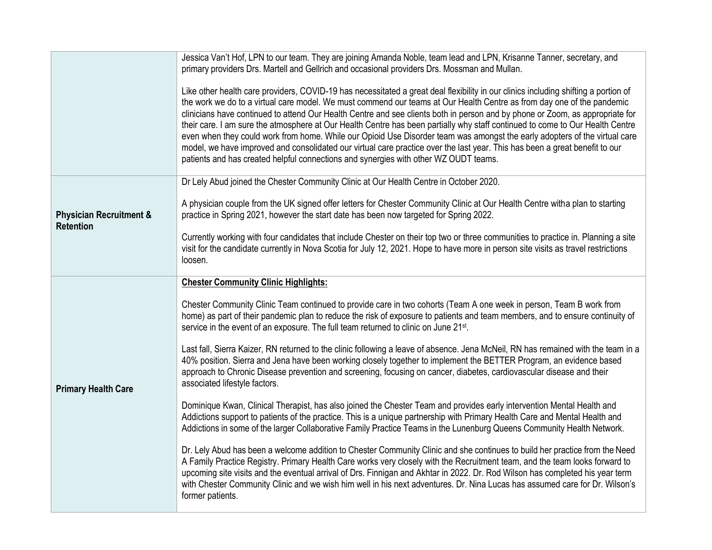|                                                        | Jessica Van't Hof, LPN to our team. They are joining Amanda Noble, team lead and LPN, Krisanne Tanner, secretary, and<br>primary providers Drs. Martell and Gellrich and occasional providers Drs. Mossman and Mullan.                                                                                                                                                                                                                                                                                                                                                                                                                                                                                                                                                                                                                                                               |
|--------------------------------------------------------|--------------------------------------------------------------------------------------------------------------------------------------------------------------------------------------------------------------------------------------------------------------------------------------------------------------------------------------------------------------------------------------------------------------------------------------------------------------------------------------------------------------------------------------------------------------------------------------------------------------------------------------------------------------------------------------------------------------------------------------------------------------------------------------------------------------------------------------------------------------------------------------|
|                                                        | Like other health care providers, COVID-19 has necessitated a great deal flexibility in our clinics including shifting a portion of<br>the work we do to a virtual care model. We must commend our teams at Our Health Centre as from day one of the pandemic<br>clinicians have continued to attend Our Health Centre and see clients both in person and by phone or Zoom, as appropriate for<br>their care. I am sure the atmosphere at Our Health Centre has been partially why staff continued to come to Our Health Centre<br>even when they could work from home. While our Opioid Use Disorder team was amongst the early adopters of the virtual care<br>model, we have improved and consolidated our virtual care practice over the last year. This has been a great benefit to our<br>patients and has created helpful connections and synergies with other WZ OUDT teams. |
| <b>Physician Recruitment &amp;</b><br><b>Retention</b> | Dr Lely Abud joined the Chester Community Clinic at Our Health Centre in October 2020.                                                                                                                                                                                                                                                                                                                                                                                                                                                                                                                                                                                                                                                                                                                                                                                               |
|                                                        | A physician couple from the UK signed offer letters for Chester Community Clinic at Our Health Centre witha plan to starting<br>practice in Spring 2021, however the start date has been now targeted for Spring 2022.                                                                                                                                                                                                                                                                                                                                                                                                                                                                                                                                                                                                                                                               |
|                                                        | Currently working with four candidates that include Chester on their top two or three communities to practice in. Planning a site<br>visit for the candidate currently in Nova Scotia for July 12, 2021. Hope to have more in person site visits as travel restrictions<br>loosen.                                                                                                                                                                                                                                                                                                                                                                                                                                                                                                                                                                                                   |
| <b>Primary Health Care</b>                             | <b>Chester Community Clinic Highlights:</b>                                                                                                                                                                                                                                                                                                                                                                                                                                                                                                                                                                                                                                                                                                                                                                                                                                          |
|                                                        | Chester Community Clinic Team continued to provide care in two cohorts (Team A one week in person, Team B work from<br>home) as part of their pandemic plan to reduce the risk of exposure to patients and team members, and to ensure continuity of<br>service in the event of an exposure. The full team returned to clinic on June 21st.                                                                                                                                                                                                                                                                                                                                                                                                                                                                                                                                          |
|                                                        | Last fall, Sierra Kaizer, RN returned to the clinic following a leave of absence. Jena McNeil, RN has remained with the team in a<br>40% position. Sierra and Jena have been working closely together to implement the BETTER Program, an evidence based<br>approach to Chronic Disease prevention and screening, focusing on cancer, diabetes, cardiovascular disease and their<br>associated lifestyle factors.                                                                                                                                                                                                                                                                                                                                                                                                                                                                    |
|                                                        | Dominique Kwan, Clinical Therapist, has also joined the Chester Team and provides early intervention Mental Health and<br>Addictions support to patients of the practice. This is a unique partnership with Primary Health Care and Mental Health and<br>Addictions in some of the larger Collaborative Family Practice Teams in the Lunenburg Queens Community Health Network.                                                                                                                                                                                                                                                                                                                                                                                                                                                                                                      |
|                                                        | Dr. Lely Abud has been a welcome addition to Chester Community Clinic and she continues to build her practice from the Need<br>A Family Practice Registry. Primary Health Care works very closely with the Recruitment team, and the team looks forward to<br>upcoming site visits and the eventual arrival of Drs. Finnigan and Akhtar in 2022. Dr. Rod Wilson has completed his year term<br>with Chester Community Clinic and we wish him well in his next adventures. Dr. Nina Lucas has assumed care for Dr. Wilson's<br>former patients.                                                                                                                                                                                                                                                                                                                                       |